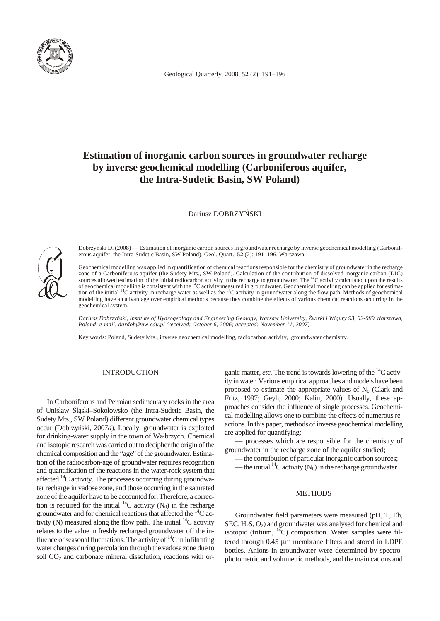

# **Estimation of inorganic carbon sources in ground water recharge** by inverse geochemical modelling (Carboniferous aquifer, **the Intra-Sudetic Basin, SW Poland)**

Dariusz DOBRZY SKI

Dobrzy ski D. (2008) — Estimation of inorganic carbon sources in groundwater recharge by inverse geochemical modelling (Carboniferous aquifer, the Intra-Sudetic Basin, SW Poland). Geol. Quart.,  $52$  (2): 191-196. Warszawa.

Geochemical modelling was applied in quantification of chemical reactions responsible for the chemistry of groundwater in the recharge zone of a Carboniferous aquifer (the Sudety Mts., SW Poland). Calculation of the contribution of dissolved inorganic carbon (DIC) sources allowed estimation of the initial radiocarbon activity in the recharge to groundwater. The  ${}^{14}$ C activity calculated upon the results of geochemical modelling is consistent with the  ${}^{14}C$  activity measured in groundwater. Geochemical modelling can be applied for estimation of the initial  ${}^{14}C$  activity in recharge water as well as the  ${}^{14}C$  activity in groundwater along the flow path. Methods of geochemical modelling have an advantage over empirical methods because they combine the effects of various chemical reactions occurring in the geochemical system.

*Dariusz Dobrzy ski, Institute of Hydrogeology and Engineering Geology, Warsaw University, wirki i Wigury 93, 02-089 Warszawa, Po land; e-mail: dardob@uw.edu.pl (re ceived: Oc to ber 6, 2006; ac cepted: No vem ber 11, 2007).*

Key words: Poland, Sudety Mts., inverse geochemical modelling, radiocarbon activity, groundwater chemistry.

## INTRODUCTION

In Carboniferous and Permian sedimentary rocks in the area of Unisław 1 ski–Sokołowsko (the Intra-Sudetic Basin, the Sudety Mts., SW Poland) different groundwater chemical types occur (Dobrzy ski, 2007*a*). Locally, groundwater is exploited for drinking-water supply in the town of Wałbrzych. Chemical and isotopic research was carried out to decipher the origin of the chemical composition and the "age" of the groundwater. Estimation of the radiocarbon-age of groundwater requires recognition and quantification of the reactions in the water-rock system that affected  $\rm ^{14}C$  activity. The processes occurring during ground water recharge in vadose zone, and those occurring in the saturated zone of the aquifer have to be accounted for. Therefore, a correction is required for the initial  $^{14}$ C activity (N<sub>0</sub>) in the recharge ground water and for chemical reactions that affected the  ${}^{14}C$  activity (N) measured along the flow path. The initial  $^{14}C$  activity relates to the value in freshly recharged groundwater off the influence of seasonal fluctuations. The activity of  ${}^{14}C$  in infiltrating water changes during percolation through the vadose zone due to soil  $CO<sub>2</sub>$  and carbonate mineral dissolution, reactions with organic matter, *etc*. The trend is towards lowering of the  ${}^{14}C$  activity in water. Various empirical approaches and models have been proposed to estimate the appropriate values of  $N_0$  (Clark and Fritz, 1997; Geyh, 2000; Kalin, 2000). Usually, these approaches consider the influence of single processes. Geochemical modelling allows one to combine the effects of numerous reactions. In this paper, methods of inverse geochemical modelling are applied for quantifying:

– processes which are responsible for the chemistry of groundwater in the recharge zone of the aquifer studied;

— the contribution of particular inorganic carbon sources;

— the initial <sup>14</sup>C activity ( $N_0$ ) in the recharge ground water.

#### METHODS

Groundwater field parameters were measured (pH, T, Eh, SEC,  $H_2S$ ,  $O_2$ ) and groundwater was analysed for chemical and isotopic (tritium,  $^{14}$ C) composition. Water samples were filtered through 0.45 µm membrane filters and stored in LDPE bottles. Anions in groundwater were determined by spectrophotometric and volumetric methods, and the main cations and

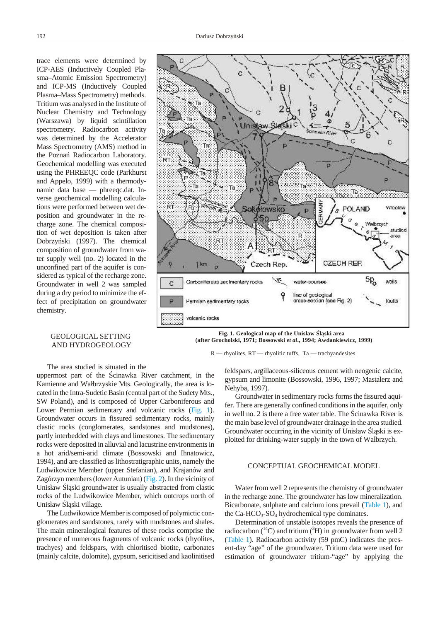trace elements were determined by ICP-AES (Inductively Coupled Plasma–Atomic Emission Spectrometry) and ICP-MS (Inductively Coupled Plasma–Mass Spectrometry) methods. Tritium was analysed in the Institute of Nuclear Chemistry and Technology (Warszawa) by liquid scintillation spectrometry. Radiocarbon activity was determined by the Accelerator Mass Spectrometry (AMS) method in the Pozna Radiocarbon Laboratory. Geochemical modelling was executed using the PHREEQC code (Parkhurst and Appelo, 1999) with a thermodynamic data base — phreeqc.dat. Inverse geochemical modelling calculations were performed between wet deposition and groundwater in the recharge zone. The chemical composition of wet deposition is taken after Dobrzy ski (1997). The chemical composition of groundwater from water supply well (no. 2) located in the un confined part of the aquifer is considered as typical of the recharge zone. Groundwater in well 2 was sampled during a dry period to minimize the effect of precipitation on groundwater chemistry.

## GEOLOGICAL SETTING AND HYDROGEOLOGY

The area studied is situated in the

uppermost part of the cinawka River catchment, in the Kamienne and Wałbrzyskie Mts. Geologically, the area is located in the Intra-Sudetic Basin (central part of the Sudety Mts., SW Poland), and is composed of Upper Carboniferous and Lower Permian sedimentary and volcanic rocks (Fig. 1). Groundwater occurs in fissured sedimentary rocks, mainly clastic rocks (conglomerates, sandstones and mudstones), partly interbedded with clays and limestones. The sedimentary rocks were deposited in alluvial and lacustrine environments in a hot arid/semi-arid climate (Bossowski and Ihnatowicz, 1994), and are classified as lithostratigraphic units, namely the Ludwikowice Member (upper Stefanian), and Krajanów and Zagórzyn members (lower Autunian) ( $Fig. 2$ ). In the vicinity of Unisław 1 ski groundwater is usually abstracted from clastic rocks of the Ludwikowice Member, which outcrops north of Unisław 1 ski village.

The Ludwikowice Member is composed of polymictic conglomerates and sandstones, rarely with mudstones and shales. The main mineralogical features of these rocks comprise the presence of numerous fragments of volcanic rocks (rhyolites, trachyes) and feldspars, with chloritised biotite, carbonates (mainly calcite, dolomite), gypsum, sericitised and kaolinitised



Fig. 1. Geological map of the Unisław 1 ski area  **(af ter Grocholski, 1971; Bossowski** *et al***., 1994; Awdankiewicz, 1999)**

#### R — rhyolites, RT — rhyolitic tuffs, Ta — trachyandesites

feldspars, argillaceous-siliceous cement with neogenic calcite, gypsum and limonite (Bossowski, 1996, 1997; Mastalerz and Nehyba, 1997).

Ground water in sedimentary rocks forms the fissured aquifer. There are generally confined conditions in the aquifer, only in well no. 2 is there a free water table. The cinawka River is the main base level of groundwater drainage in the area studied. Groundwater occurring in the vicinity of Unisław 1 ski is exploited for drinking-water supply in the town of Wałbrzych.

## CONCEPTUAL GEOCHEMICAL MODEL

Water from well 2 represents the chemistry of groundwater in the recharge zone. The groundwater has low mineralization. Bicarbonate, sulphate and calcium ions prevail (Table 1), and the  $Ca-HCO<sub>3</sub>-SO<sub>4</sub>$  hydrochemical type dominates.

Determination of unstable isotopes reveals the presence of radiocarbon ( $^{14}$ C) and tritium ( $^{3}$ H) in groundwater from well 2 (Table 1). Radiocarbon activity  $(59 \text{ pmC})$  indicates the present-day "age" of the groundwater. Tritium data were used for estimation of groundwater tritium-"age" by applying the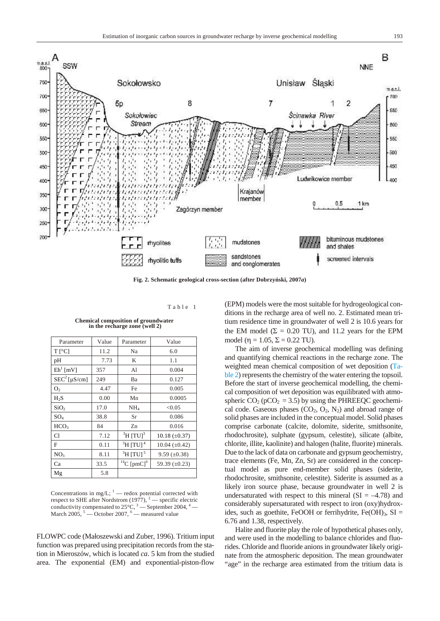<span id="page-2-0"></span>

Fig. 2. Schematic geological cross-section (after Dobrzy ski, 2007*a*)

Ta ble 1

| Parameter                | Value | Parameter                          | Value                |
|--------------------------|-------|------------------------------------|----------------------|
| $T[^{\circ}C]$           | 11.2  | Na                                 | 6.0                  |
| pH                       | 7.73  | K                                  | 1.1                  |
| $Eh1$ [mV]               | 357   | A1                                 | 0.004                |
| SEC <sup>2</sup> [µS/cm] | 249   | Ba                                 | 0.127                |
| O <sub>2</sub>           | 4.47  | Fe                                 | 0.005                |
| H <sub>2</sub> S         | 0.00  | Mn                                 | 0.0005               |
| SiO <sub>2</sub>         | 17.0  | NH <sub>4</sub>                    | < 0.05               |
| $SO_4$                   | 38.8  | Sr                                 | 0.086                |
| HCO <sub>3</sub>         | 84    | Zn                                 | 0.016                |
| C1                       | 7.12  | $\mathrm{^{3}H}$ [TU] <sup>3</sup> | $10.18 \ (\pm 0.37)$ |
| F                        | 0.11  | $\mathrm{^{3}H}$ [TU] <sup>4</sup> | $10.04 \ (\pm 0.42)$ |
| NO <sub>3</sub>          | 8.11  | $\mathrm{^{3}H}$ [TU] <sup>5</sup> | $9.59 \ (\pm 0.38)$  |
| Ca                       | 33.5  | $^{14}C$ [pmC] <sup>6</sup>        | 59.39 $(\pm 0.23)$   |
| Mg                       | 5.8   |                                    |                      |

**Chemical composition of groundwater** in the recharge zone (well 2)

Concentrations in mg/L;  $1$  — redox potential corrected with respect to SHE after Nordstrom (1977),  $^2$  — specific electric conductivity compensated to  $25^{\circ}$ C,  $3$  — September 2004,  $4$  — March 2005,  $5 -$ October 2007,  $6 -$  measured value

FLOWPC code (Małoszewski and Zuber, 1996). Tritium input function was prepared using precipitation records from the station in Mieroszów, which is located *ca*. 5 km from the studied area. The exponential (EM) and exponential-piston-flow

(EPM) models were the most suitable for hydrogeological conditions in the recharge area of well no. 2. Estimated mean tritium residence time in groundwater of well 2 is 10.6 years for the EM model ( $\Sigma = 0.20$  TU), and 11.2 years for the EPM model ( $\eta = 1.05$ ,  $\Sigma = 0.22$  TU).

The aim of inverse geochemical modelling was defining and quantifying chemical reactions in the recharge zone. The weighted mean chemical composition of wet deposition (Ta[ble 2\)](#page-3-0) represents the chemistry of the water entering the topsoil. Before the start of inverse geochemical modelling, the chemical composition of wet deposition was equilibrated with atmospheric  $CO_2$  (pCO<sub>2</sub> = 3.5) by using the PHREEQC geochemical code. Gaseous phases  $(CO_2, O_2, N_2)$  and abroad range of solid phases are included in the conceptual model. Solid phases comprise carbonate (calcite, dolomite, siderite, smithsonite, rhodochrosite), sulphate (gypsum, celestite), silicate (albite, chlorite, illite, kaolinite) and halogen (halite, fluorite) minerals. Due to the lack of data on carbonate and gypsum geochemistry, trace elements (Fe, Mn, Zn, Sr) are considered in the conceptual model as pure end-member solid phases (siderite, rhodochrosite, smithsonite, celestite). Siderite is assumed as a likely iron source phase, because ground water in well 2 is undersaturated with respect to this mineral  $(SI = -4.78)$  and considerably supersaturated with respect to iron (oxy)hydroxides, such as goethite, FeOOH or ferrihydrite, Fe $(OH)_{3}$ , SI = 6.76 and 1.38, respectively.

Halite and fluorite play the role of hypothetical phases only, and were used in the modelling to balance chlorides and fluorides. Chloride and fluoride anions in groundwater likely originate from the atmospheric deposition. The mean groundwater "age" in the recharge area estimated from the tritium data is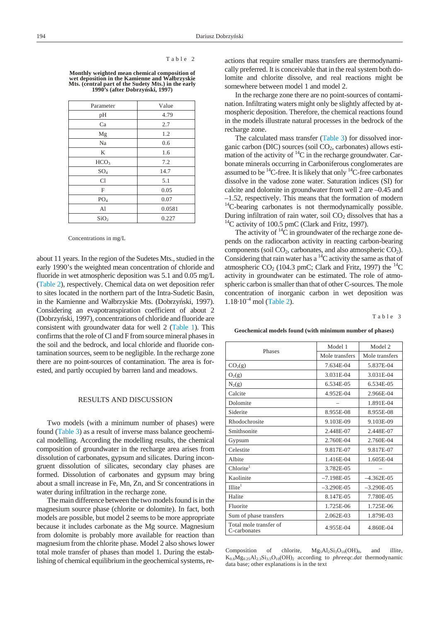#### Table 2

<span id="page-3-0"></span>**Monthly weighted mean chemical composition of** wet deposition in the Kamienne and Wałbrzyskie **Mts. (cen tral part of the Sudety Mts.) in the early 1990's (after Dobrzyński, 1997)**

| Parameter        | Value  |  |
|------------------|--------|--|
| pH               | 4.79   |  |
| Ca               | 2.7    |  |
| Mg               | 1.2    |  |
| Na               | 0.6    |  |
| K                | 1.6    |  |
| HCO <sub>3</sub> | 7.2    |  |
| $SO_4$           | 14.7   |  |
| Cl               | 5.1    |  |
| F                | 0.05   |  |
| PO <sub>4</sub>  | 0.07   |  |
| A <sub>1</sub>   | 0.0581 |  |
| SiO <sub>2</sub> | 0.227  |  |

Concentrations in mg/L

about 11 years. In the region of the Sudetes Mts., studied in the early 1990's the weighted mean concentration of chloride and fluoride in wet atmospheric deposition was  $5.1$  and  $0.05$  mg/L (Table 2), respectively. Chemical data on wet deposition refer to sites located in the northern part of the Intra-Sudetic Basin, in the Kamienne and Wałbrzyskie Mts. (Dobrzy ski, 1997). Considering an evapotranspiration coefficient of about 2 (Dobrzy ski, 1997), concentrations of chloride and fluoride are consistent with groundwater data for well 2 (Table 1). This confirms that the role of Cl and F from source mineral phases in the soil and the bedrock, and local chloride and fluoride contamination sources, seem to be negligible. In the recharge zone there are no point-sources of contamination. The area is forested, and partly occupied by barren land and meadows.

## RESULTS AND DISCUSSION

Two models (with a minimum number of phases) were found (Table 3) as a result of inverse mass balance geochemical modelling. According the modelling results, the chemical composition of ground water in the recharge area arises from dissolution of carbonates, gypsum and silicates. During incongruent dissolution of silicates, secondary clay phases are formed. Dissolution of carbonates and gypsum may bring about a small increase in Fe, Mn, Zn, and Sr concentrations in water during infiltration in the recharge zone.

The main difference between the two models found is in the magnesium source phase (chlorite or dolomite). In fact, both models are possible, but model 2 seems to be more appropriate because it includes carbonate as the Mg source. Magnesium from dolomite is probably more available for reaction than magnesium from the chlorite phase. Model 2 also shows lower total mole transfer of phases than model 1. During the establishing of chemical equilibrium in the geochemical systems, reactions that require smaller mass transfers are thermodynamically preferred. It is conceivable that in the real system both dolomite and chlorite dissolve, and real reactions might be somewhere between model 1 and model 2.

In the recharge zone there are no point-sources of contamination. Infiltrating waters might only be slightly affected by atmospheric deposition. Therefore, the chemical reactions found in the models illustrate natural processes in the bedrock of the recharge zone.

The calculated mass transfer (Table 3) for dissolved inorganic carbon (DIC) sources (soil  $CO<sub>2</sub>$ , carbonates) allows estimation of the activity of  ${}^{14}C$  in the recharge groundwater. Carbonate minerals occurring in Carboniferous conglomerates are assumed to be  $^{14}$ C-free. It is likely that only  $^{14}$ C-free carbonates dissolve in the vadose zone water. Saturation indices (SI) for calcite and dolomite in groundwater from well 2 are  $-0.45$  and  $-1.52$ , respectively. This means that the formation of modern  $14$ C-bearing carbonates is not thermodynamically possible. During infiltration of rain water, soil  $CO<sub>2</sub>$  dissolves that has a  $14$ C activity of 100.5 pmC (Clark and Fritz, 1997).

The activity of  ${}^{14}C$  in groundwater of the recharge zone depends on the radiocarbon activity in reacting carbon-bearing components (soil  $CO<sub>2</sub>$ , carbonates, and also atmospheric  $CO<sub>2</sub>$ ). Considering that rain water has a  ${}^{14}C$  activity the same as that of atmospheric CO<sub>2</sub> (104.3 pmC; Clark and Fritz, 1997) the  ${}^{14}$ C activity in groundwater can be estimated. The role of atmospheric carbon is smaller than that of other C-sources. The mole concentration of inorganic carbon in wet deposition was  $1.18 \cdot 10^{-4}$  mol (Table 2).

#### Ta ble 3

#### Geochemical models found (with minimum number of phases)

|                                        | Model 1        | Model 2        |
|----------------------------------------|----------------|----------------|
| Phases                                 | Mole transfers | Mole transfers |
| CO <sub>2</sub> (g)                    | 7.634E-04      | 5.837E-04      |
| $O_2(g)$                               | 3.031E-04      | 3.031E-04      |
| $N_2(g)$                               | 6.534E-05      | 6.534E-05      |
| Calcite                                | 4.952E-04      | 2.966E-04      |
| Dolomite                               |                | 1.891E-04      |
| Siderite                               | 8.955E-08      | 8.955E-08      |
| Rhodochrosite                          | 9.103E-09      | 9.103E-09      |
| Smithsonite                            | 2.448E-07      | 2.448E-07      |
| Gypsum                                 | 2.760E-04      | 2.760E-04      |
| Celestite                              | 9.817E-07      | 9.817E-07      |
| Albite                                 | 1.416E-04      | 1.605E-04      |
| Chlorite <sup>1</sup>                  | 3.782E-05      |                |
| Kaolinite                              | $-7.198E-05$   | $-4.362E-05$   |
| Illite <sup>1</sup>                    | $-3.290E-05$   | $-3.290E-05$   |
| Halite                                 | 8.147E-05      | 7.780E-05      |
| Fluorite                               | 1.725E-06      | 1.725E-06      |
| Sum of phase transfers                 | 2.062E-03      | 1.879E-03      |
| Total mole transfer of<br>C-carbonates | 4.955E-04      | 4.860E-04      |

Composition of chlorite,  $Mg_5Al_2Si_3O_{10}(OH)_{8}$ , and illite,  $K_{0.6}Mg_{0.25}Al_{2.3}Si_{3.5}O_{10}(OH)_{2}$  according to *phreeqc.dat* thermodynamic data base; other explanations is in the text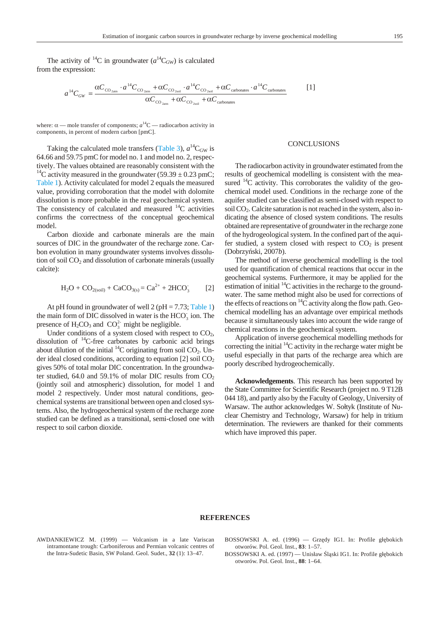The activity of <sup>14</sup>C in ground water  $(a<sup>14</sup>C<sub>GW</sub>)$  is calculated from the expression:

$$
a^{14}C_{GW} = \frac{\alpha C_{\text{CO}_{2atm}} \cdot a^{14}C_{\text{CO}_{2atm}} + \alpha C_{\text{CO}_{2scil}} \cdot a^{14}C_{\text{CO}_{2scil}} + \alpha C_{\text{carbonates}} \cdot a^{14}C_{\text{carbonates}}}{\alpha C_{\text{CO}_{2atm}} + \alpha C_{\text{CO}_{2scil}} + \alpha C_{\text{carbonates}}}
$$
 [1]

where:  $\alpha$  — mole transfer of components;  $a^{14}$ C — radiocarbon activity in components, in percent of modern carbon [pmC].

Taking the calculated mole transfers (Table 3),  $a^{14}C_{GW}$  is 64.66 and 59.75 pmC for model no. 1 and model no. 2, respectively. The values obtained are reasonably consistent with the <sup>14</sup>C activity measured in the groundwater (59.39  $\pm$  0.23 pmC; Table 1). Activity calculated for model 2 equals the measured value, providing corroboration that the model with dolomite dissolution is more probable in the real geochemical system. The consistency of calculated and measured  ${}^{14}C$  activities confirms the correctness of the conceptual geochemical model.

Carbon dioxide and carbonate minerals are the main sources of DIC in the groundwater of the recharge zone. Carbon evolution in many groundwater systems involves dissolution of soil  $CO<sub>2</sub>$  and dissolution of carbonate minerals (usually calcite):

$$
H_2O + CO_{2(soil)} + CaCO_{3(s)} = Ca^{2+} + 2HCO_3
$$
 [2]

At pH found in groundwater of well 2 (pH = 7.73; Table 1) the main form of DIC dissolved in water is the HCO<sub>3</sub> ion. The presence of  $H_2CO_3$  and  $CO_3^2$  might be negligible.

Under conditions of a system closed with respect to  $CO<sub>2</sub>$ , dissolution of  $^{14}$ C-free carbonates by carbonic acid brings about dilution of the initial  ${}^{14}C$  originating from soil CO<sub>2</sub>. Under ideal closed conditions, according to equation [2] soil  $CO<sub>2</sub>$ gives 50% of total molar DIC concentration. In the ground water studied, 64.0 and 59.1% of molar DIC results from  $CO<sub>2</sub>$ (jointly soil and atmospheric) dissolution, for model 1 and model 2 respectively. Under most natural conditions, geochemical systems are transitional between open and closed systems. Also, the hydrogeochemical system of the recharge zone studied can be defined as a transitional, semi-closed one with respect to soil carbon dioxide.

# **CONCLUSIONS**

The radiocarbon activity in groundwater estimated from the results of geochemical modelling is consistent with the measured  $14C$  activity. This corroborates the validity of the geochemical model used. Conditions in the recharge zone of the aquifer studied can be classified as semi-closed with respect to soil  $CO<sub>2</sub>$ . Calcite saturation is not reached in the system, also indicating the absence of closed system conditions. The results obtained are representative of groundwater in the recharge zone of the hydrogeological system. In the confined part of the aquifer studied, a system closed with respect to  $CO<sub>2</sub>$  is present (Dobrzyński, 2007*b*).

The method of inverse geochemical modelling is the tool used for quantification of chemical reactions that occur in the geochemical systems. Furthermore, it may be applied for the estimation of initial  ${}^{14}C$  activities in the recharge to the groundwater. The same method might also be used for corrections of the effects of reactions on  ${}^{14}C$  activity along the flow path. Geochemical modelling has an advantage over empirical methods because it simultaneously takes into account the wide range of chemical reactions in the geochemical system.

Application of inverse geochemical modelling methods for correcting the initial  ${}^{14}C$  activity in the recharge water might be useful especially in that parts of the recharge area which are poorly described hydrogeochemically.

Acknowledgements. This research has been supported by the State Committee for Scientific Research (project no. 9 T12B 044 18), and partly also by the Faculty of Geology, University of Warsaw. The author acknowledges W. Sołtyk (Institute of Nuclear Chemistry and Technology, Warsaw) for help in tritium determination. The reviewers are thanked for their comments which have improved this paper.

## **REFERENCES**

- AWDANKIEWICZ M. (1999) Volcanism in a late Variscan intramontane trough: Carboniferous and Permian volcanic centres of the Intra-Sudetic Basin, SW Poland. Geol. Sudet., 32 (1): 13-47.
- BOSSOWSKI A. ed. (1996) Grz dy IG1. In: Profile gł bokich otworów. Pol. Geol. Inst., **83**: 1–57.

BOSSOWSKI A. ed. (1997) — Unisław 1 ski IG1. In: Profile gł bokich otworów. Pol. Geol. Inst., **88**: 1–64.